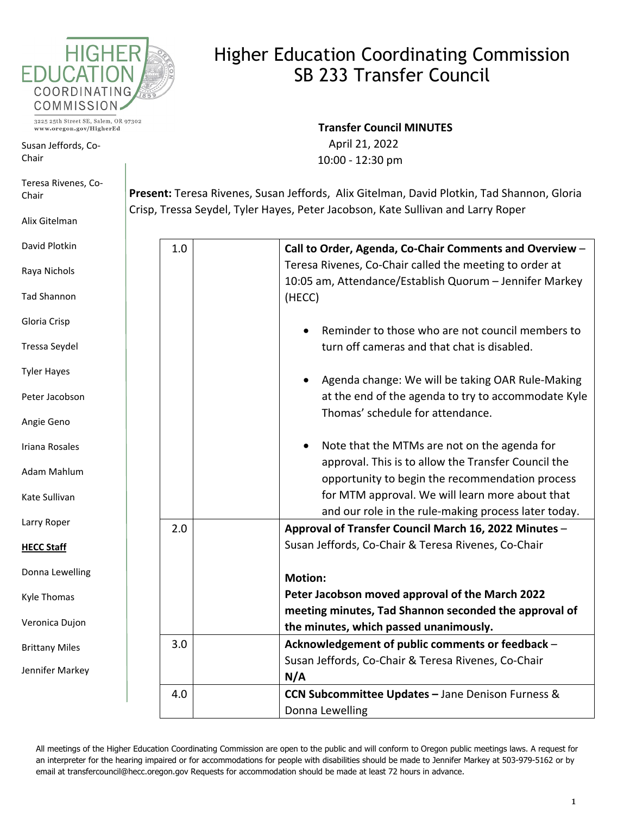

## Higher Education Coordinating Commission SB 233 Transfer Council

3225 25th Street SE, Salem, OR 97302 www.oregon.gov/HigherEd

п

Susan Jeffords, Co-Chair

David Plotki

Ray

Tad

Glor

Tres

Tyle

Pete

Angi

Irian

Ada

Kate

Larr

**HEC** 

Don

Kyle

Vero

**Britt** 

Jenn

**Transfer Council MINUTES** 

 April 21, 2022 10:00 - 12:30 pm

**Present:** Teresa Rivenes, Susan Jeffords, Alix Gitelman, David Plotkin, Tad Shannon, Gloria Crisp, Tressa Seydel, Tyler Hayes, Peter Jacobson, Kate Sullivan and Larry Roper

| id Plotkin      | 1.0 | Call to Order, Agenda, Co-Chair Comments and Overview - |
|-----------------|-----|---------------------------------------------------------|
| a Nichols       |     | Teresa Rivenes, Co-Chair called the meeting to order at |
|                 |     | 10:05 am, Attendance/Establish Quorum - Jennifer Markey |
| Shannon         |     | (HECC)                                                  |
| ia Crisp        |     |                                                         |
|                 |     | Reminder to those who are not council members to        |
| sa Seydel       |     | turn off cameras and that chat is disabled.             |
| r Hayes         |     |                                                         |
|                 |     | Agenda change: We will be taking OAR Rule-Making        |
| er Jacobson     |     | at the end of the agenda to try to accommodate Kyle     |
| ie Geno         |     | Thomas' schedule for attendance.                        |
|                 |     |                                                         |
| a Rosales       |     | Note that the MTMs are not on the agenda for            |
| m Mahlum        |     | approval. This is to allow the Transfer Council the     |
|                 |     | opportunity to begin the recommendation process         |
| <b>Sullivan</b> |     | for MTM approval. We will learn more about that         |
| y Roper         |     | and our role in the rule-making process later today.    |
|                 | 2.0 | Approval of Transfer Council March 16, 2022 Minutes -   |
| C Staff         |     | Susan Jeffords, Co-Chair & Teresa Rivenes, Co-Chair     |
| na Lewelling    |     |                                                         |
|                 |     | <b>Motion:</b>                                          |
| : Thomas        |     | Peter Jacobson moved approval of the March 2022         |
| onica Dujon     |     | meeting minutes, Tad Shannon seconded the approval of   |
|                 |     | the minutes, which passed unanimously.                  |
| tany Miles      | 3.0 | Acknowledgement of public comments or feedback -        |
| ifer Markey     |     | Susan Jeffords, Co-Chair & Teresa Rivenes, Co-Chair     |
|                 |     | N/A                                                     |
|                 | 4.0 | CCN Subcommittee Updates - Jane Denison Furness &       |
|                 |     | Donna Lewelling                                         |

All meetings of the Higher Education Coordinating Commission are open to the public and will conform to Oregon public meetings laws. A request for an interpreter for the hearing impaired or for accommodations for people with disabilities should be made to Jennifer Markey at 503-979-5162 or by email at transfercouncil@hecc.oregon.gov Requests for accommodation should be made at least 72 hours in advance.